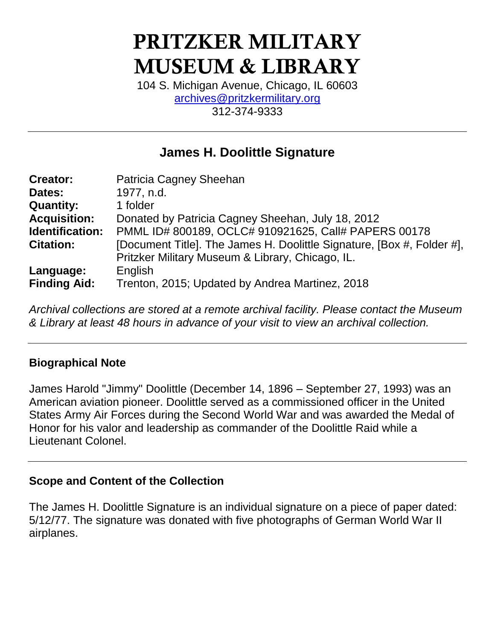# **PRITZKER MILITARY MUSEUM & LIBRARY**

104 S. Michigan Avenue, Chicago, IL 60603 [archives@pritzkermilitary.org](mailto:archives@pritzkermilitary.org) 312-374-9333

# **James H. Doolittle Signature**

| <b>Creator:</b>     | Patricia Cagney Sheehan                                                |
|---------------------|------------------------------------------------------------------------|
| Dates:              | 1977, n.d.                                                             |
| <b>Quantity:</b>    | 1 folder                                                               |
| <b>Acquisition:</b> | Donated by Patricia Cagney Sheehan, July 18, 2012                      |
| Identification:     | PMML ID# 800189, OCLC# 910921625, Call# PAPERS 00178                   |
| <b>Citation:</b>    | [Document Title]. The James H. Doolittle Signature, [Box #, Folder #], |
|                     | Pritzker Military Museum & Library, Chicago, IL.                       |
| Language:           | English                                                                |
| <b>Finding Aid:</b> | Trenton, 2015; Updated by Andrea Martinez, 2018                        |

*Archival collections are stored at a remote archival facility. Please contact the Museum & Library at least 48 hours in advance of your visit to view an archival collection.*

## **Biographical Note**

James Harold "Jimmy" Doolittle (December 14, 1896 – September 27, 1993) was an American aviation pioneer. Doolittle served as a commissioned officer in the United States Army Air Forces during the Second World War and was awarded the Medal of Honor for his valor and leadership as commander of the Doolittle Raid while a Lieutenant Colonel.

#### **Scope and Content of the Collection**

The James H. Doolittle Signature is an individual signature on a piece of paper dated: 5/12/77. The signature was donated with five photographs of German World War II airplanes.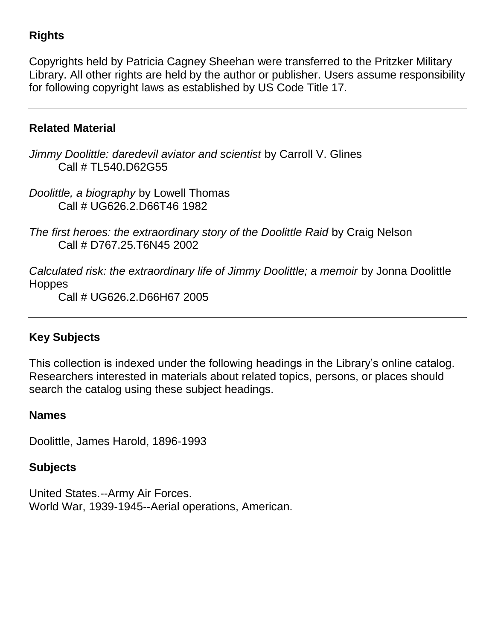## **Rights**

Copyrights held by Patricia Cagney Sheehan were transferred to the Pritzker Military Library. All other rights are held by the author or publisher. Users assume responsibility for following copyright laws as established by US Code Title 17.

#### **Related Material**

*Jimmy Doolittle: daredevil aviator and scientist* by Carroll V. Glines Call # TL540.D62G55

*Doolittle, a biography* by Lowell Thomas Call # UG626.2.D66T46 1982

*The first heroes: the extraordinary story of the Doolittle Raid* by Craig Nelson Call # D767.25.T6N45 2002

*Calculated risk: the extraordinary life of Jimmy Doolittle; a memoir* by Jonna Doolittle **Hoppes** 

Call # UG626.2.D66H67 2005

## **Key Subjects**

This collection is indexed under the following headings in the Library's online catalog. Researchers interested in materials about related topics, persons, or places should search the catalog using these subject headings.

#### **Names**

Doolittle, James Harold, 1896-1993

#### **Subjects**

United States.--Army Air Forces. World War, 1939-1945--Aerial operations, American.